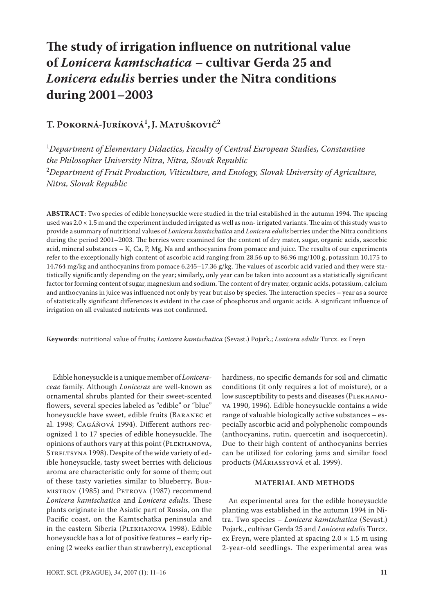# **The study of irrigation influence on nutritional value of** *Lonicera kamtschatica* **– cultivar Gerda 25 and**  *Lonicera edulis* **berries under the Nitra conditions during 2001–2003**

# **T. Pokorná-Juríková1 ,J. Matuškovič2**

<sup>1</sup>Department of Elementary Didactics, Faculty of Central European Studies, Constantine *the Philosopher University Nitra, Nitra, Slovak Republic* 2 *Department of Fruit Production, Viticulture, and Enology, Slovak University of Agriculture, Nitra, Slovak Republic*

**ABSTRACT**: Two species of edible honeysuckle were studied in the trial established in the autumn 1994. The spacing used was  $2.0 \times 1.5$  m and the experiment included irrigated as well as non-irrigated variants. The aim of this study was to provide a summary of nutritional values of *Lonicera kamtschatica* and *Lonicera edulis* berries under the Nitra conditions during the period 2001–2003. The berries were examined for the content of dry mater, sugar, organic acids, ascorbic acid, mineral substances – K, Ca, P, Mg, Na and anthocyanins from pomace and juice. The results of our experiments refer to the exceptionally high content of ascorbic acid ranging from 28.56 up to 86.96 mg/100 g, potassium 10,175 to 14,764 mg/kg and anthocyanins from pomace 6.245–17.36 g/kg. The values of ascorbic acid varied and they were statistically significantly depending on the year; similarly, only year can be taken into account as a statistically significant factor for forming content of sugar, magnesium and sodium. The content of dry mater, organic acids, potassium, calcium and anthocyanins in juice was influenced not only by year but also by species. The interaction species – year as a source of statistically significant differences is evident in the case of phosphorus and organic acids. A significant influence of irrigation on all evaluated nutrients was not confirmed.

**Keywords**: nutritional value of fruits; *Lonicera kamtschatica* (Sevast.) Pojark.; *Lonicera edulis* Turcz. ex Freyn

Edible honeysuckle is a unique member of *Loniceraceae* family. Although *Loniceras* are well-known as ornamental shrubs planted for their sweet-scented flowers, several species labeled as "edible" or "blue" honeysuckle have sweet, edible fruits (Baranec et al. 1998; Cagáňová 1994). Different authors recognized 1 to 17 species of edible honeysuckle. The opinions of authors vary at this point (Plekhanova, STRELTSYNA 1998). Despite of the wide variety of edible honeysuckle, tasty sweet berries with delicious aroma are characteristic only for some of them; out of these tasty varieties similar to blueberry, Burmistrov (1985) and Petrova (1987) recommend *Lonicera kamtschatica* and *Lonicera edulis*. These plants originate in the Asiatic part of Russia, on the Pacific coast, on the Kamtschatka peninsula and in the eastern Siberia (Plekhanova 1998). Edible honeysuckle has a lot of positive features – early ripening (2 weeks earlier than strawberry), exceptional hardiness, no specific demands for soil and climatic conditions (it only requires a lot of moisture), or a low susceptibility to pests and diseases (PLEKHANOva 1990, 1996). Edible honeysuckle contains a wide range of valuable biologically active substances – especially ascorbic acid and polyphenolic compounds (anthocyanins, rutin, quercetin and isoquercetin). Due to their high content of anthocyanins berries can be utilized for coloring jams and similar food products (Máriassyová et al. 1999).

### **MATERIAL AND METHODS**

An experimental area for the edible honeysuckle planting was established in the autumn 1994 in Nitra. Two species – *Lonicera kamtschatica* (Sevast.) Pojark., cultivar Gerda 25 and *Lonicera edulis* Turcz. ex Freyn, were planted at spacing  $2.0 \times 1.5$  m using 2-year-old seedlings. The experimental area was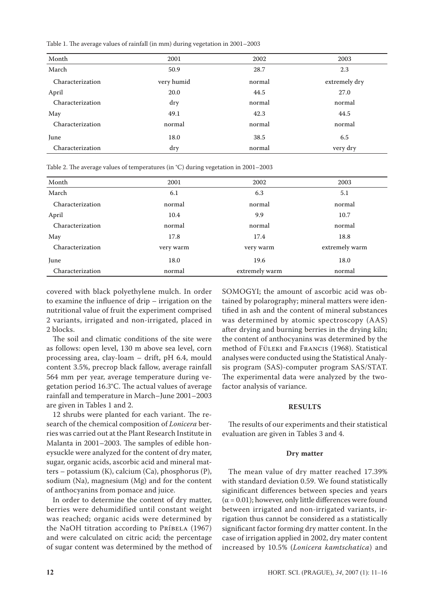Table 1. The average values of rainfall (in mm) during vegetation in 2001–2003

| Month            | 2001       | 2002   | 2003          |
|------------------|------------|--------|---------------|
| March            | 50.9       | 28.7   | 2.3           |
| Characterization | very humid | normal | extremely dry |
| April            | 20.0       | 44.5   | 27.0          |
| Characterization | dry        | normal | normal        |
| May              | 49.1       | 42.3   | 44.5          |
| Characterization | normal     | normal | normal        |
| June             | 18.0       | 38.5   | 6.5           |
| Characterization | dry        | normal | very dry      |
|                  |            |        |               |

Table 2. The average values of temperatures (in °C) during vegetation in 2001–2003

| Month            | 2001      | 2002           | 2003           |
|------------------|-----------|----------------|----------------|
| March            | 6.1       | 6.3            | 5.1            |
| Characterization | normal    | normal         | normal         |
| April            | 10.4      | 9.9            | 10.7           |
| Characterization | normal    | normal         | normal         |
| May              | 17.8      | 17.4           | 18.8           |
| Characterization | very warm | very warm      | extremely warm |
| June             | 18.0      | 19.6           | 18.0           |
| Characterization | normal    | extremely warm | normal         |

covered with black polyethylene mulch. In order to examine the influence of drip – irrigation on the nutritional value of fruit the experiment comprised 2 variants, irrigated and non-irrigated, placed in 2 blocks.

The soil and climatic conditions of the site were as follows: open level, 130 m above sea level, corn processing area, clay-loam – drift, pH 6.4, mould content 3.5%, precrop black fallow, average rainfall 564 mm per year, average temperature during vegetation period 16.3°C. The actual values of average rainfall and temperature in March–June 2001–2003 are given in Tables 1 and 2.

12 shrubs were planted for each variant. The research of the chemical composition of *Lonicera* berries was carried out at the Plant Research Institute in Malanta in 2001–2003. The samples of edible honeysuckle were analyzed for the content of dry mater, sugar, organic acids, ascorbic acid and mineral matters – potassium (K), calcium (Ca), phosphorus (P), sodium (Na), magnesium (Mg) and for the content of anthocyanins from pomace and juice.

In order to determine the content of dry matter, berries were dehumidified until constant weight was reached; organic acids were determined by the NaOH titration according to PríBELA (1967) and were calculated on citric acid; the percentage of sugar content was determined by the method of

SOMOGYI; the amount of ascorbic acid was obtained by polarography; mineral matters were identified in ash and the content of mineral substances was determined by atomic spectroscopy (AAS) after drying and burning berries in the drying kiln; the content of anthocyanins was determined by the method of Füleki and Francis (1968). Statistical analyses were conducted using the Statistical Analysis program (SAS)-computer program SAS/STAT. The experimental data were analyzed by the twofactor analysis of variance.

#### **RESULTS**

The results of our experiments and their statistical evaluation are given in Tables 3 and 4.

### **Dry matter**

The mean value of dry matter reached 17.39% with standard deviation 0.59. We found statistically siginificant differences between species and years  $(\alpha = 0.01)$ ; however, only little differences were found between irrigated and non-irrigated variants, irrigation thus cannot be considered as a statistically significant factor forming dry matter content. In the case of irrigation applied in 2002, dry mater content increased by 10.5% (*Lonicera kamtschatica*) and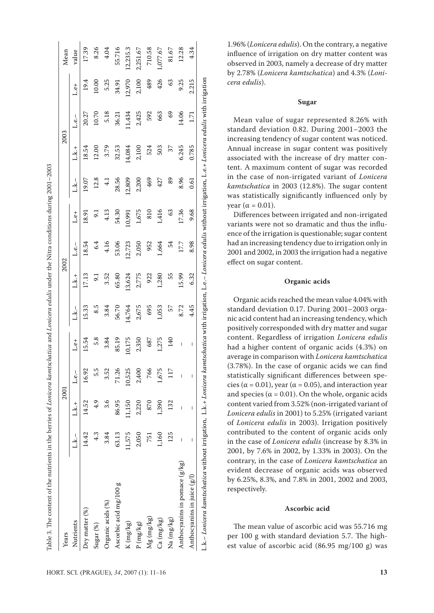| Years                         |            | 2001          |                          |        |        |        | 2002     |                |               | 2003   |          |        | Mean     |
|-------------------------------|------------|---------------|--------------------------|--------|--------|--------|----------|----------------|---------------|--------|----------|--------|----------|
| Nutrients                     | L.k.-      | i.k.+         | $L.e. -$                 | L.e.   | L.k.-  | L.k.+  | $L.e. -$ | 1.e.           | L.k.-         | L.k.+  | $L.e. -$ | L.e+   | value    |
| Dry matter $(\%)$             | 14.42      | 14.52         | 16.92                    | 15.54  | 15.33  | 17.13  | 18.54    | 18.91          | 19.07         | 18.54  | 20.27    | 19.4   | 17.39    |
| Sugar (%)                     | 4.3        | $\frac{4}{9}$ | 5.5                      | 5.8    | 8.5    | 5.1    | 6.4      | $\overline{5}$ | 12.8          | 12.00  | 10.70    | 10.00  | 8.26     |
| Organic acids (%)             | 3.84       | 3.6           | 3.52                     | 3.84   | 3.84   | 3.52   | 4.16     | 4.13           | $\frac{1}{4}$ | 3.79   | 5.18     | 5.25   | 4.04     |
| Ascorbic acid mg/100 g        | 63.13      | 86.95         | 71.26                    | 85.19  | 56.70  | 65.80  | 53.06    | 54.30          | 28.56         | 32.53  | 36.21    | 34.91  | 55.716   |
| $K$ (mg/kg)                   | 11,575     | 11,150        | 10,525                   | 10,175 | 14,764 | 13,624 | 12,723   | 10,991         | 12,809        | 14,084 | 1,434    | 12,970 | 12,235.3 |
| P(mg/kg)                      | 2,050      | 2,220         | 2,400                    | 2,350  | 2,675  | 2,775  | 2,050    | 1,675          | 2,200         | 2,100  | 2,425    | 2,100  | 2,251.67 |
| $Mg$ (mg/kg)                  | <b>751</b> | 870           | 766                      | 687    | 695    | 922    | 952      | 810            | 469           | 524    | 592      | 489    | 710.58   |
| Ca (mg/kg)                    | 1,160      | 1,390         | 1,675                    | 1,275  | 1,053  | 1,280  | 1,664    | 1,416          | 427           | 503    | 663      | 426    | 1,077.67 |
| Na (mg/kg)                    | 125        | 132           | 117                      | 140    | 57     | 55     | 54       | 63             | 89            | 77     | 69       | 63     | 81.67    |
| Anthocyanins in pomace (g/kg) | I          | I             | I                        | I      | 8.72   | 15.99  | 177      | 17.36          | 8.96          | 6.245  | 14.06    | 9.25   | 12.28    |
| Anthocyanins in juice $(g/l)$ | I          | I             | $\overline{\phantom{a}}$ | I      | 4.45   | 6.32   | 8.98     | 9.68           | 0.61          | 0.785  | 1.71     | 2.215  | 4.34     |

*cera edulis*).

1.96% (*Lonicera edulis*). On the contrary, a negative influence of irrigation on dry matter content was observed in 2003, namely a decrease of dry matter by 2.78% (*Lonicera kamtschatica*) and 4.3% (*Loni-*

## **Sugar**

Mean value of sugar represented 8.26% with standard deviation 0.82. During 2001–2003 the increasing tendency of sugar content was noticed. Annual increase in sugar content was positively associated with the increase of dry matter content. A maximum content of sugar was recorded in the case of non-irrigated variant of *Lonicera kamtschatica* in 2003 (12.8%). The sugar content was statistically significantly influenced only by vear ( $α = 0.01$ ).

Differences between irrigated and non-irrigated variants were not so dramatic and thus the influence of the irrigation is questionable; sugar content had an increasing tendency due to irrigation only in 2001 and 2002, in 2003 the irrigation had a negative effect on sugar content.

#### **Organic acids**

Organic acids reached the mean value 4.04% with standard deviation 0.17. During 2001–2003 organic acid content had an increasing tendency, which positively corresponded with dry matter and sugar content. Regardless of irrigation *Lonicera edulis* had a higher content of organic acids (4.3%) on average in comparison with *Lonicera kamtschatica*  (3.78%). In the case of organic acids we can find statistically significant differences between species ( $\alpha$  = 0.01), year ( $\alpha$  = 0.05), and interaction year and species ( $\alpha$  = 0.01). On the whole, organic acids content varied from 3.52% (non-irrigated variant of *Lonicera edulis* in 2001) to 5.25% (irrigated variant of *Lonicera edulis* in 2003). Irrigation positively contributed to the content of organic acids only in the case of *Lonicera edulis* (increase by 8.3% in 2001, by 7.6% in 2002, by 1.33% in 2003). On the contrary, in the case of *Lonicera kamtschatica* an evident decrease of organic acids was observed by 6.25%, 8.3%, and 7.8% in 2001, 2002 and 2003, respectively.

#### **Ascorbic acid**

The mean value of ascorbic acid was 55.716 mg per 100 g with standard deviation 5.7. The highest value of ascorbic acid (86.95 mg/100 g) was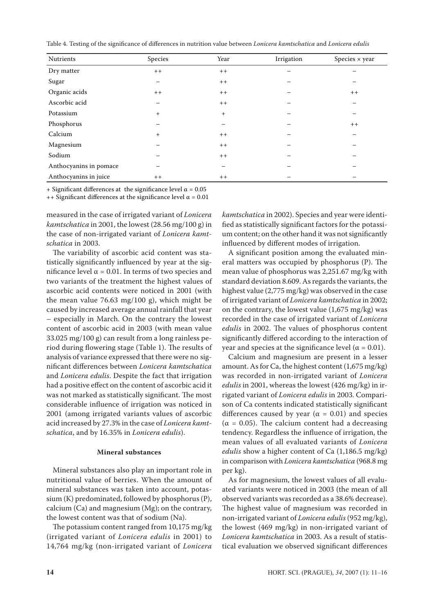Table 4. Testing of the significance of differences in nutrition value between *Lonicera kamtschatica* and *Lonicera edulis*

| Nutrients              | Species   | Year   | Irrigation | Species $\times$ year |
|------------------------|-----------|--------|------------|-----------------------|
| Dry matter             | $++$      | $++$   |            |                       |
| Sugar                  | -         | $++$   |            |                       |
| Organic acids          | $++$      | $++$   |            | $++$                  |
| Ascorbic acid          | —         | $+ +$  |            |                       |
| Potassium              | $^{+}$    | $^{+}$ |            |                       |
| Phosphorus             | —         |        |            | $++$                  |
| Calcium                | $\ddot{}$ | $++$   |            |                       |
| Magnesium              |           | $+ +$  |            |                       |
| Sodium                 |           | $++$   |            |                       |
| Anthocyanins in pomace |           |        |            |                       |
| Anthocyanins in juice  | $++$      | $+ +$  |            |                       |

+ Significant differences at the significance level  $\alpha$  = 0.05

++ Significant differences at the significance level  $\alpha$  = 0.01

measured in the case of irrigated variant of *Lonicera kamtschatica* in 2001, the lowest (28.56 mg/100 g) in the case of non-irrigated variant of *Lonicera kamtschatica* in 2003.

The variability of ascorbic acid content was statistically significantly influenced by year at the significance level  $α = 0.01$ . In terms of two species and two variants of the treatment the highest values of ascorbic acid contents were noticed in 2001 (with the mean value 76.63 mg/100 g), which might be caused by increased average annual rainfall that year – especially in March. On the contrary the lowest content of ascorbic acid in 2003 (with mean value 33.025 mg/100 g) can result from a long rainless period during flowering stage (Table 1). The results of analysis of variance expressed that there were no significant differences between *Lonicera kamtschatica* and *Lonicera edulis*. Despite the fact that irrigation had a positive effect on the content of ascorbic acid it was not marked as statistically significant. The most considerable influence of irrigation was noticed in 2001 (among irrigated variants values of ascorbic acid increased by 27.3% in the case of *Lonicera kamtschatica*, and by 16.35% in *Lonicera edulis*).

#### **Mineral substances**

Mineral substances also play an important role in nutritional value of berries. When the amount of mineral substances was taken into account, potassium (K) predominated, followed by phosphorus (P), calcium (Ca) and magnesium (Mg); on the contrary, the lowest content was that of sodium (Na).

The potassium content ranged from 10,175 mg/kg (irrigated variant of *Lonicera edulis* in 2001) to 14,764 mg/kg (non-irrigated variant of *Lonicera* 

*kamtschatica* in 2002). Species and year were identified as statistically significant factors for the potassium content; on the other hand it was not significantly influenced by different modes of irrigation.

A significant position among the evaluated mineral matters was occupied by phosphorus (P). The mean value of phosphorus was 2,251.67 mg/kg with standard deviation 8.609. As regards the variants, the highest value (2,775 mg/kg) was observed in the case of irrigated variant of *Lonicera kamtschatica* in 2002; on the contrary, the lowest value (1,675 mg/kg) was recorded in the case of irrigated variant of *Lonicera edulis* in 2002. The values of phosphorus content significantly differed according to the interaction of year and species at the significance level ( $\alpha = 0.01$ ).

Calcium and magnesium are present in a lesser amount. As for Ca, the highest content (1,675 mg/kg) was recorded in non-irrigated variant of *Lonicera edulis* in 2001, whereas the lowest (426 mg/kg) in irrigated variant of *Lonicera edulis* in 2003. Comparison of Ca contents indicated statistically significant differences caused by year ( $\alpha$  = 0.01) and species (α = 0.05). The calcium content had a decreasing tendency. Regardless the influence of irrigation, the mean values of all evaluated variants of *Lonicera edulis* show a higher content of Ca (1,186.5 mg/kg) in comparison with *Lonicera kamtschatica* (968.8 mg per kg).

As for magnesium, the lowest values of all evaluated variants were noticed in 2003 (the mean of all observed variants was recorded as a 38.6% decrease). The highest value of magnesium was recorded in non-irrigated variant of *Lonicera edulis* (952 mg/kg), the lowest (469 mg/kg) in non-irrigated variant of *Lonicera kamtschatica* in 2003. As a result of statistical evaluation we observed significant differences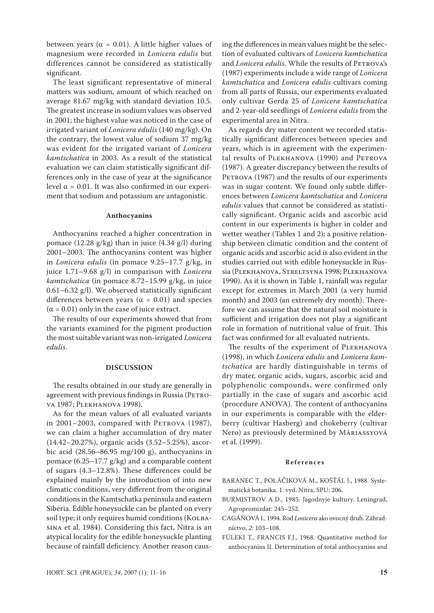between years ( $\alpha = 0.01$ ). A little higher values of magnesium were recorded in *Lonicera edulis* but differences cannot be considered as statistically significant.

The least significant representative of mineral matters was sodium, amount of which reached on average 81.67 mg/kg with standard deviation 10.5. The greatest increase in sodium values was observed in 2001; the highest value was noticed in the case of irrigated variant of *Lonicera edulis* (140 mg/kg). On the contrary, the lowest value of sodium 37 mg/kg was evident for the irrigated variant of *Lonicera kamtschatica* in 2003. As a result of the statistical evaluation we can claim statistically significant differences only in the case of year at the significance level  $α = 0.01$ . It was also confirmed in our experiment that sodium and potassium are antagonistic.

#### **Anthocyanins**

Anthocyanins reached a higher concentration in pomace (12.28 g/kg) than in juice (4.34 g/l) during 2001–2003. The anthocyanins content was higher in *Lonicera edulis* (in pomace 9.25–17.7 g/kg, in juice 1.71–9.68 g/l) in comparison with *Lonicera kamtschatica* (in pomace 8.72–15.99 g/kg, in juice 0.61–6.32 g/l). We observed statistically significant differences between years ( $\alpha = 0.01$ ) and species  $(\alpha = 0.01)$  only in the case of juice extract.

The results of our experiments showed that from the variants examined for the pigment production the most suitable variant was non-irrigated *Lonicera edulis*.

#### **DISCUSSION**

The results obtained in our study are generally in agreement with previous findings in Russia (PETROva 1987; Plekhanova 1998).

As for the mean values of all evaluated variants in 2001–2003, compared with PETROVA  $(1987)$ , we can claim a higher accumulation of dry mater (14.42–20.27%), organic acids (3.52–5.25%), ascorbic acid (28.56–86.95 mg/100 g), anthocyanins in pomace (6.25–17.7 g/kg) and a comparable content of sugars (4.3–12.8%). These differences could be explained mainly by the introduction of into new climatic conditions, very different from the original conditions in the Kamtschatka peninsula and eastern Siberia. Edible honeysuckle can be planted on every soil type; it only requires humid conditions (KOLBAsina et al. 1984). Considering this fact, Nitra is an atypical locality for the edible honeysuckle planting because of rainfall deficiency. Another reason causing the differences in mean values might be the selection of evaluated cultivars of *Lonicera kamtschatica* and *Lonicera edulis*. While the results of PETROVA's (1987) experiments include a wide range of *Lonicera kamtschatica* and *Lonicera edulis* cultivars coming from all parts of Russia, our experiments evaluated only cultivar Gerda 25 of *Lonicera kamtschatica* and 2-year-old seedlings of *Lonicera edulis* from the experimental area in Nitra.

As regards dry mater content we recorded statistically significant differences between species and years, which is in agreement with the experimental results of PLEKHANOVA (1990) and PETROVA (1987). A greater discrepancy between the results of PETROVA (1987) and the results of our experiments was in sugar content. We found only subtle differences between *Lonicera kamtschatica* and *Lonicera edulis* values that cannot be considered as statistically significant. Organic acids and ascorbic acid content in our experiments is higher in colder and wetter weather (Tables 1 and 2); a positive relationship between climatic condition and the content of organic acids and ascorbic acid is also evident in the studies carried out with edible honeysuckle in Russia (Plekhanova, Streltsyna 1998; Plekhanova 1990). As it is shown in Table 1, rainfall was regular except for extremes in March 2001 (a very humid month) and 2003 (an extremely dry month). Therefore we can assume that the natural soil moisture is sufficient and irrigation does not play a significant role in formation of nutritional value of fruit. This fact was confirmed for all evaluated nutrients.

The results of the experiment of PLEKHANOVA (1998), in which *Lonicera edulis* and *Lonicera kamtschatica* are hardly distinguishable in terms of dry mater, organic acids, sugars, ascorbic acid and polyphenolic compounds, were confirmed only partially in the case of sugars and ascorbic acid (procedure ANOVA). The content of anthocyanins in our experiments is comparable with the elderberry (cultivar Hasberg) and chokeberry (cultivar Nero) as previously determined by Máriassyová et al. (1999).

#### **R e f e r e n c e s**

- BARANEC T., POLÁČIKOVÁ M., KOŠŤÁL J., 1988. Systematická botanika. 1. vyd. Nitra, SPU: 206.
- BURMISTROV A.D., 1985. Jagodnyje kultury. Leningrad, Agropromizdat: 245–252.
- CAGÁŇOVÁ I., 1994. Rod *Lonicera* ako ovocný druh. Záhradníctvo, *2*: 103–108.
- FÜLEKI T., FRANCIS F.J., 1968. Quantitative method for anthocyanins II. Determination of total anthocyanins and